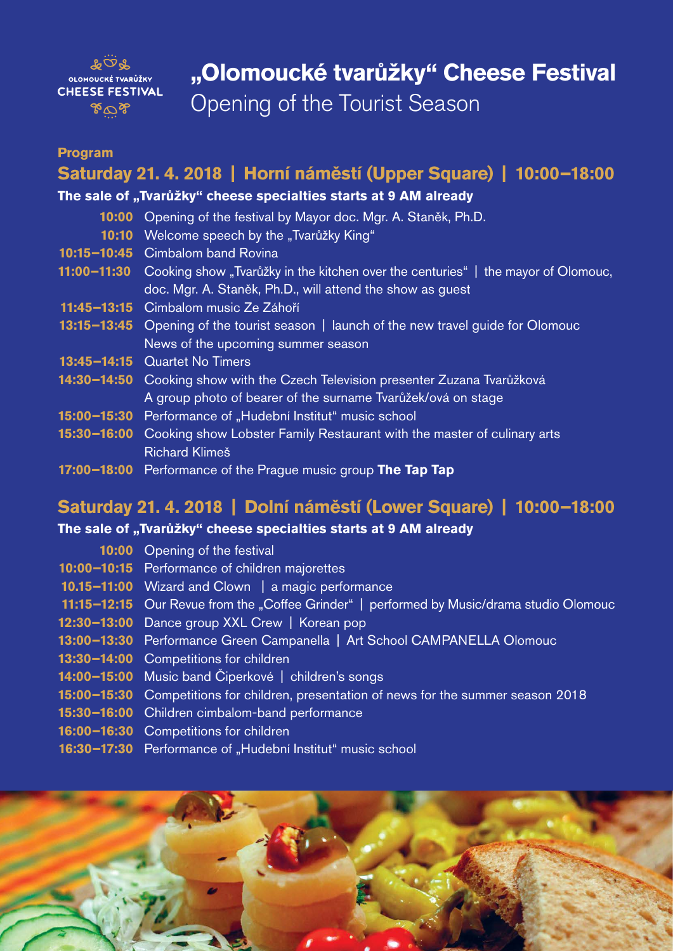

# **"Olomoucké tvarůžky" Cheese Festival**

Opening of the Tourist Season

#### **Program**

### **Saturday 21. 4. 2018 | Horní náměstí (Upper Square) | 10:00–18:00**

#### The sale of "Tvarůžky" cheese specialties starts at 9 AM already

- **10:00** Opening of the festival by Mayor doc. Mgr. A. Staněk, Ph.D.
- 10:10 Welcome speech by the "Tvarůžky King"
- **10:15–10:45** Cimbalom band Rovina
- **11:00–11:30** Cooking show "Tvarůžky in the kitchen over the centuries" | the mayor of Olomouc, doc. Mgr. A. Staněk, Ph.D., will attend the show as guest
- **11:45–13:15** Cimbalom music Ze Záhoří
- **13:15–13:45** Opening of the tourist season | launch of the new travel guide for Olomouc News of the upcoming summer season
- **13:45–14:15** Quartet No Timers
- 14:30-14:50 Cooking show with the Czech Television presenter Zuzana Tvarůžková A group photo of bearer of the surname Tvarůžek/ová on stage
- **15:00–15:30** Performance of "Hudební Institut" music school
- **15:30–16:00** Cooking show Lobster Family Restaurant with the master of culinary arts Richard Klimeš
- **17:00–18:00** Performance of the Prague music group **The Tap Tap**

### **Saturday 21. 4. 2018 | Dolní náměstí (Lower Square) | 10:00–18:00**

#### The sale of "Tvarůžky" cheese specialties starts at 9 AM already

| 10:00 Opening of the festival                                                             |
|-------------------------------------------------------------------------------------------|
| 10:00-10:15 Performance of children majorettes                                            |
| 10.15-11:00 Wizard and Clown   a magic performance                                        |
| 11:15-12:15 Our Revue from the "Coffee Grinder"   performed by Music/drama studio Olomouc |
| 12:30-13:00 Dance group XXL Crew   Korean pop                                             |
| 13:00-13:30 Performance Green Campanella   Art School CAMPANELLA Olomouc                  |
| 13:30-14:00 Competitions for children                                                     |
| 14:00-15:00 Music band Čiperkové   children's songs                                       |
| 15:00-15:30 Competitions for children, presentation of news for the summer season 2018    |
| 15:30-16:00 Children cimbalom-band performance                                            |
| 16:00-16:30 Competitions for children                                                     |
|                                                                                           |

**16:30–17:30** Performance of "Hudební Institut" music school